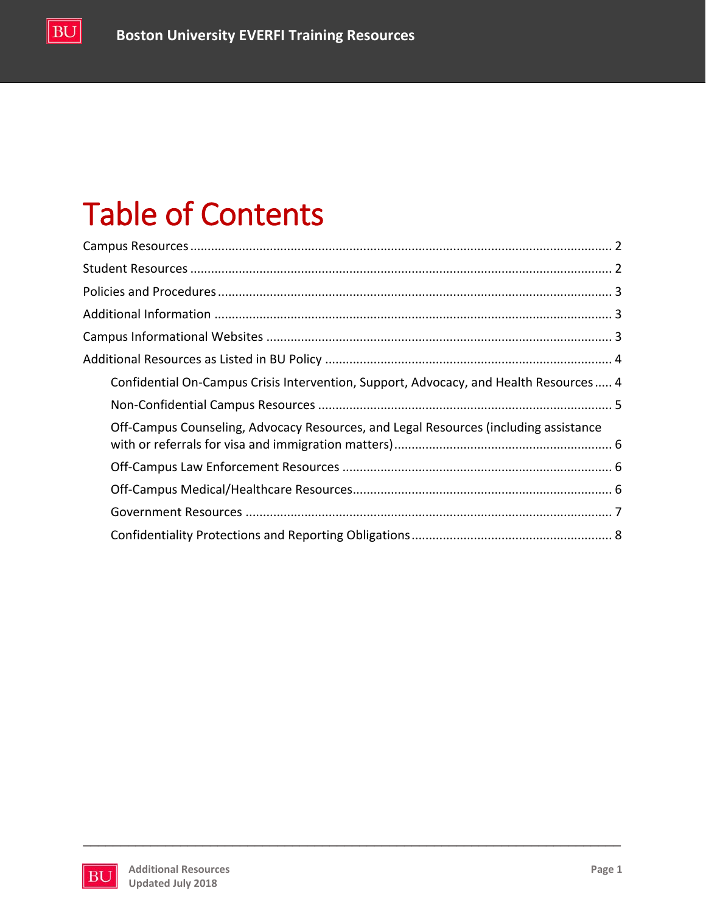

# Table of Contents

| Confidential On-Campus Crisis Intervention, Support, Advocacy, and Health Resources 4 |  |
|---------------------------------------------------------------------------------------|--|
|                                                                                       |  |
| Off-Campus Counseling, Advocacy Resources, and Legal Resources (including assistance  |  |
|                                                                                       |  |
|                                                                                       |  |
|                                                                                       |  |
|                                                                                       |  |

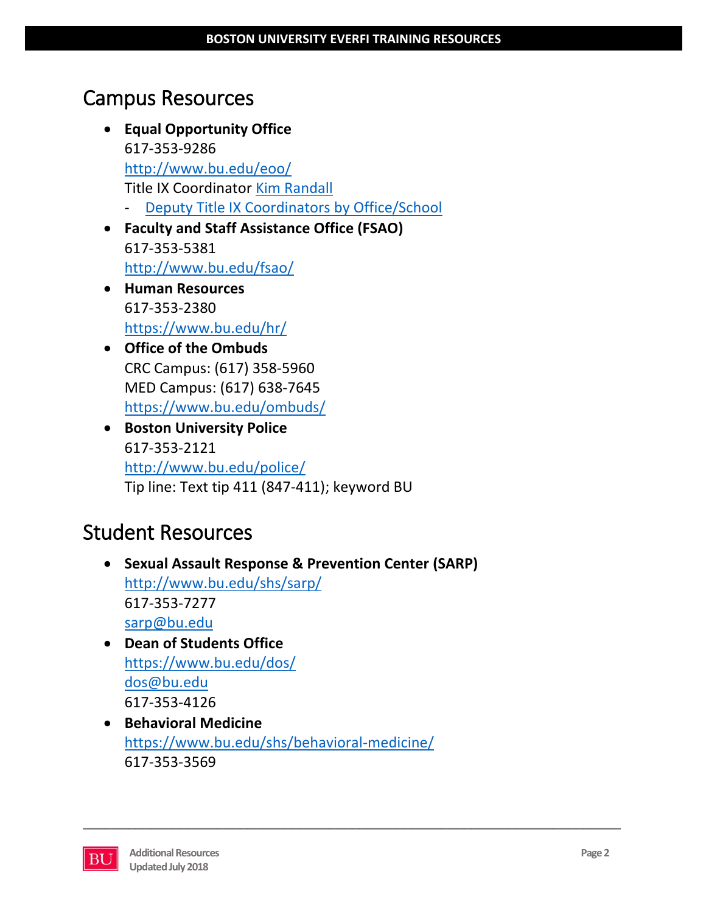### Campus Resources

- **Equal Opportunity Office**  617-353-9286 http://www.bu.edu/eoo/ Title IX Coordinator Kim Randall - Deputy Title IX Coordinators by Office/School
- **Faculty and Staff Assistance Office (FSAO)**  617-353-5381 http://www.bu.edu/fsao/
- **Human Resources** 617-353-2380 https://www.bu.edu/hr/
- **Office of the Ombuds** CRC Campus: (617) 358-5960 MED Campus: (617) 638-7645 https://www.bu.edu/ombuds/
- **Boston University Police**  617-353-2121 http://www.bu.edu/police/ Tip line: Text tip 411 (847-411); keyword BU

# Student Resources

- **Sexual Assault Response & Prevention Center (SARP)** http://www.bu.edu/shs/sarp/ 617-353-7277 sarp@bu.edu
- **Dean of Students Office** https://www.bu.edu/dos/ dos@bu.edu 617-353-4126
- **Behavioral Medicine** https://www.bu.edu/shs/behavioral-medicine/ 617-353-3569

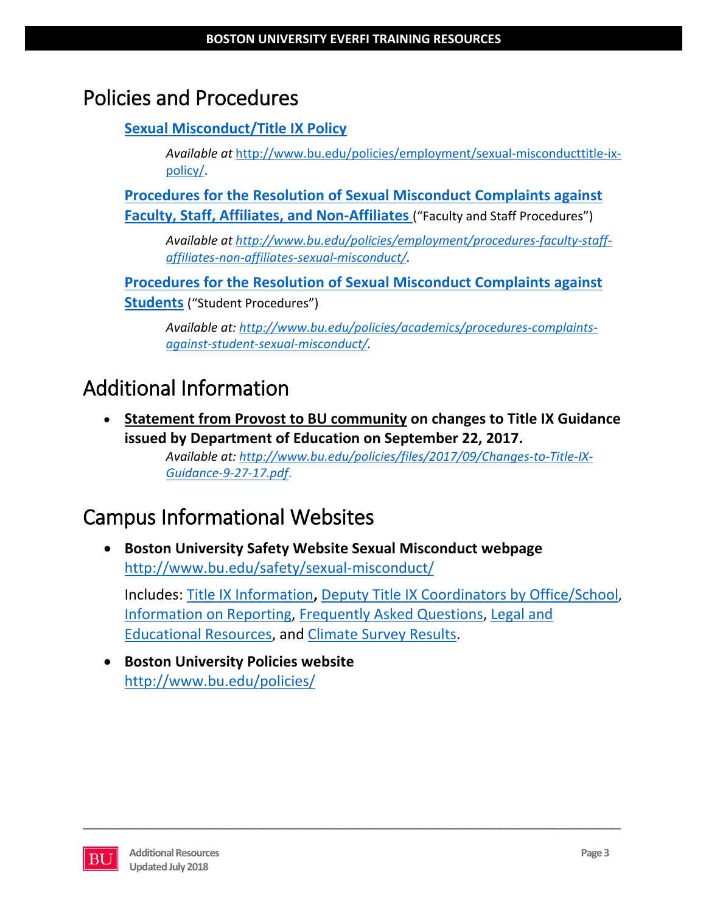### Policies and Procedures

### **Sexual Misconduct/Title IX Policy**

*Available at* http://www.bu.edu/policies/employment/sexual-misconducttitle-ixpolicy/.

**Procedures for the Resolution of Sexual Misconduct Complaints against Faculty, Staff, Affiliates, and Non-Affiliates** ("Faculty and Staff Procedures")

*Available at http://www.bu.edu/policies/employment/procedures-faculty-staffaffiliates-non-affiliates-sexual-misconduct/.* 

**Procedures for the Resolution of Sexual Misconduct Complaints against Students** ("Student Procedures")

*Available at: http://www.bu.edu/policies/academics/procedures-complaintsagainst-student-sexual-misconduct/.* 

# Additional Information

• **Statement from Provost to BU community on changes to Title IX Guidance issued by Department of Education on September 22, 2017.** 

*Available at: http://www.bu.edu/policies/files/2017/09/Changes-to-Title-IX-Guidance-9-27-17.pdf*.

## Campus Informational Websites

• **Boston University Safety Website Sexual Misconduct webpage** http://www.bu.edu/safety/sexual-misconduct/

Includes: Title IX Information**,** Deputy Title IX Coordinators by Office/School, Information on Reporting, Frequently Asked Questions, Legal and Educational Resources, and Climate Survey Results.

**\_\_\_\_\_\_\_\_\_\_\_\_\_\_\_\_\_\_\_\_\_\_\_\_\_\_\_\_\_\_\_\_\_\_\_\_\_\_\_\_\_\_\_\_\_\_\_\_\_\_\_\_\_\_\_\_\_\_\_\_\_\_\_\_\_\_\_\_\_\_\_\_** 

• **Boston University Policies website** http://www.bu.edu/policies/

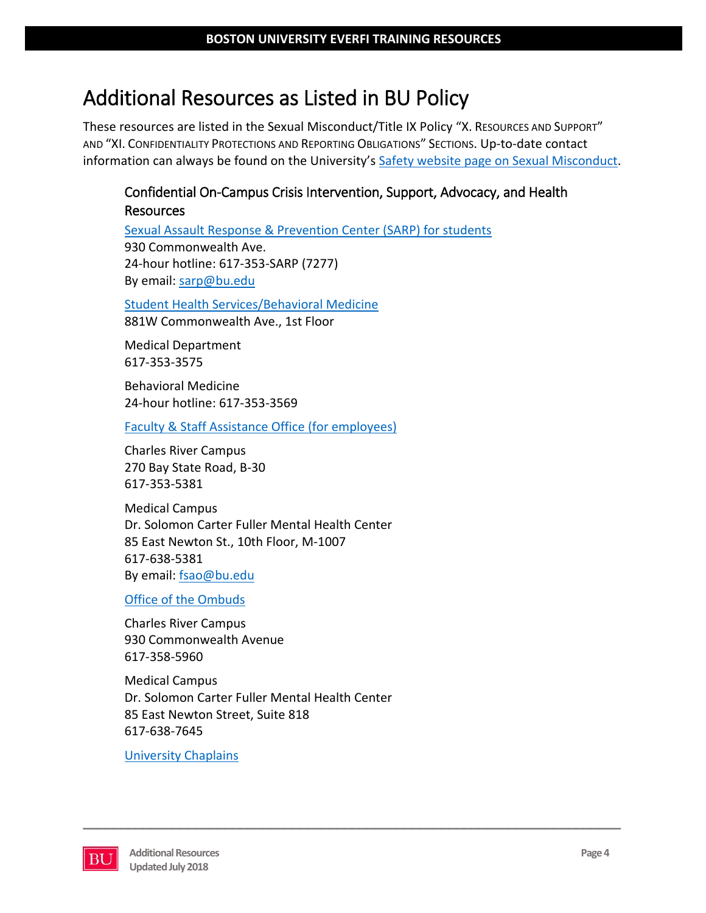# Additional Resources as Listed in BU Policy

These resources are listed in the Sexual Misconduct/Title IX Policy "X. RESOURCES AND SUPPORT" AND "XI. CONFIDENTIALITY PROTECTIONS AND REPORTING OBLIGATIONS" SECTIONS. Up-to-date contact information can always be found on the University's Safety website page on Sexual Misconduct.

### Confidential On-Campus Crisis Intervention, Support, Advocacy, and Health Resources

Sexual Assault Response & Prevention Center (SARP) for students 930 Commonwealth Ave. 24-hour hotline: 617-353-SARP (7277) By email: sarp@bu.edu

Student Health Services/Behavioral Medicine 881W Commonwealth Ave., 1st Floor

Medical Department 617-353-3575

Behavioral Medicine 24-hour hotline: 617-353-3569

Faculty & Staff Assistance Office (for employees)

Charles River Campus 270 Bay State Road, B-30 617-353-5381

Medical Campus Dr. Solomon Carter Fuller Mental Health Center 85 East Newton St., 10th Floor, M-1007 617-638-5381 By email: fsao@bu.edu

Office of the Ombuds

Charles River Campus 930 Commonwealth Avenue 617-358-5960

Medical Campus Dr. Solomon Carter Fuller Mental Health Center 85 East Newton Street, Suite 818 617-638-7645

**\_\_\_\_\_\_\_\_\_\_\_\_\_\_\_\_\_\_\_\_\_\_\_\_\_\_\_\_\_\_\_\_\_\_\_\_\_\_\_\_\_\_\_\_\_\_\_\_\_\_\_\_\_\_\_\_\_\_\_\_\_\_\_\_\_\_\_\_\_\_\_\_** 

University Chaplains

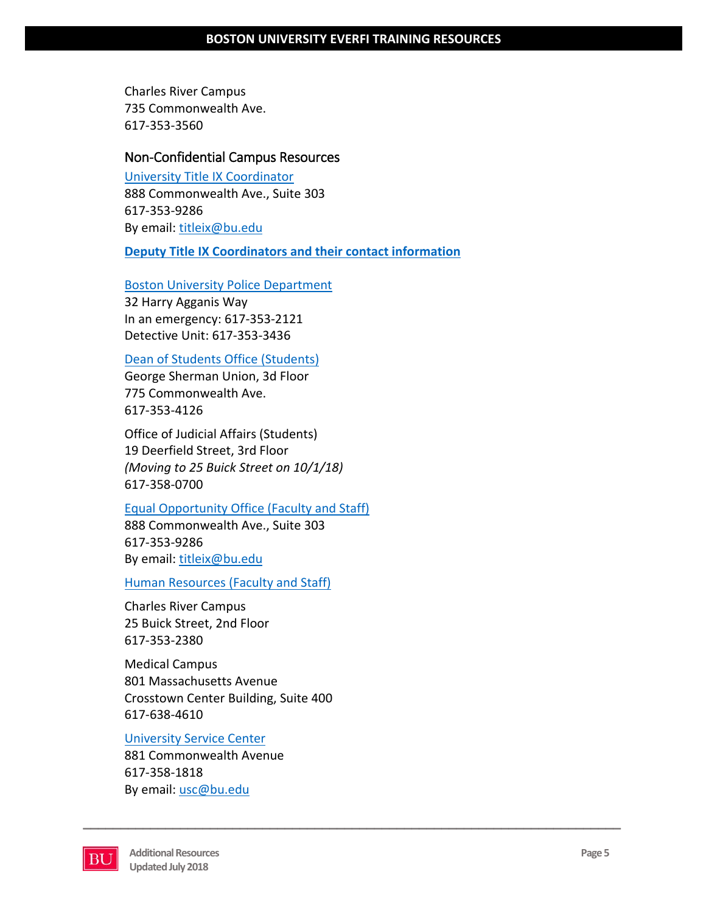Charles River Campus 735 Commonwealth Ave. 617-353-3560

#### Non-Confidential Campus Resources

University Title IX Coordinator 888 Commonwealth Ave., Suite 303 617-353-9286 By email: titleix@bu.edu

**Deputy Title IX Coordinators and their contact information**

Boston University Police Department

32 Harry Agganis Way In an emergency: 617-353-2121 Detective Unit: 617-353-3436

Dean of Students Office (Students)

George Sherman Union, 3d Floor 775 Commonwealth Ave. 617-353-4126

Office of Judicial Affairs (Students) 19 Deerfield Street, 3rd Floor *(Moving to 25 Buick Street on 10/1/18)* 617-358-0700

Equal Opportunity Office (Faculty and Staff)

888 Commonwealth Ave., Suite 303 617-353-9286 By email: titleix@bu.edu

Human Resources (Faculty and Staff)

Charles River Campus 25 Buick Street, 2nd Floor 617-353-2380

Medical Campus 801 Massachusetts Avenue Crosstown Center Building, Suite 400 617-638-4610

**\_\_\_\_\_\_\_\_\_\_\_\_\_\_\_\_\_\_\_\_\_\_\_\_\_\_\_\_\_\_\_\_\_\_\_\_\_\_\_\_\_\_\_\_\_\_\_\_\_\_\_\_\_\_\_\_\_\_\_\_\_\_\_\_\_\_\_\_\_\_\_\_** 

University Service Center

881 Commonwealth Avenue 617-358-1818 By email: usc@bu.edu

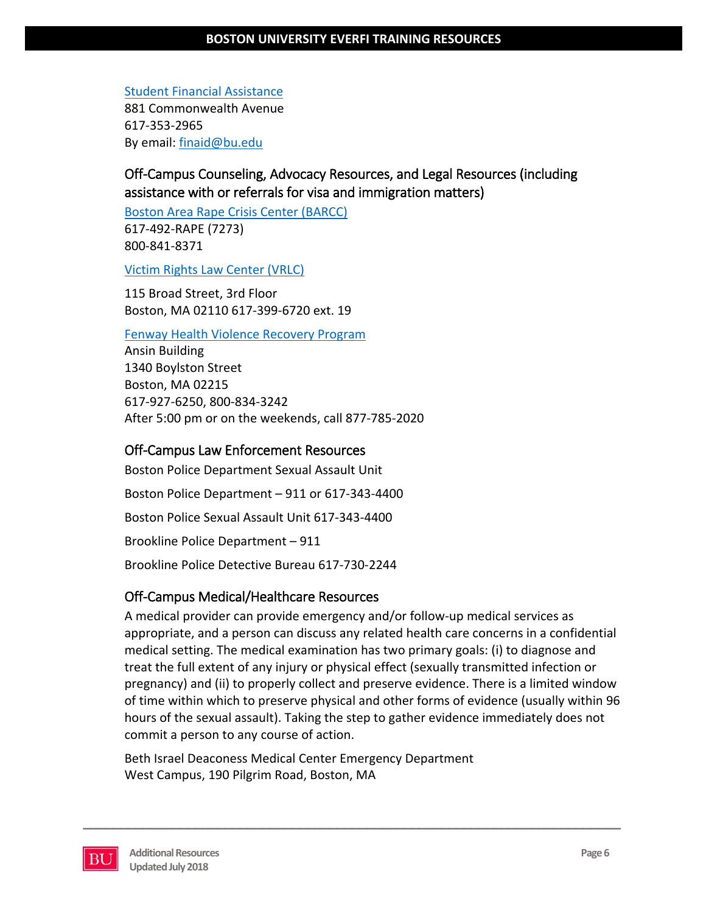Student Financial Assistance 881 Commonwealth Avenue 617-353-2965 By email: finaid@bu.edu

### Off-Campus Counseling, Advocacy Resources, and Legal Resources (including assistance with or referrals for visa and immigration matters)

Boston Area Rape Crisis Center (BARCC)

617-492-RAPE (7273) 800-841-8371

Victim Rights Law Center (VRLC)

115 Broad Street, 3rd Floor Boston, MA 02110 617-399-6720 ext. 19

#### Fenway Health Violence Recovery Program

Ansin Building 1340 Boylston Street Boston, MA 02215 617-927-6250, 800-834-3242 After 5:00 pm or on the weekends, call 877-785-2020

#### Off-Campus Law Enforcement Resources

Boston Police Department Sexual Assault Unit Boston Police Department – 911 or 617-343-4400 Boston Police Sexual Assault Unit 617-343-4400 Brookline Police Department – 911 Brookline Police Detective Bureau 617-730-2244

#### Off-Campus Medical/Healthcare Resources

A medical provider can provide emergency and/or follow-up medical services as appropriate, and a person can discuss any related health care concerns in a confidential medical setting. The medical examination has two primary goals: (i) to diagnose and treat the full extent of any injury or physical effect (sexually transmitted infection or pregnancy) and (ii) to properly collect and preserve evidence. There is a limited window of time within which to preserve physical and other forms of evidence (usually within 96 hours of the sexual assault). Taking the step to gather evidence immediately does not commit a person to any course of action.

**\_\_\_\_\_\_\_\_\_\_\_\_\_\_\_\_\_\_\_\_\_\_\_\_\_\_\_\_\_\_\_\_\_\_\_\_\_\_\_\_\_\_\_\_\_\_\_\_\_\_\_\_\_\_\_\_\_\_\_\_\_\_\_\_\_\_\_\_\_\_\_\_** 

Beth Israel Deaconess Medical Center Emergency Department West Campus, 190 Pilgrim Road, Boston, MA

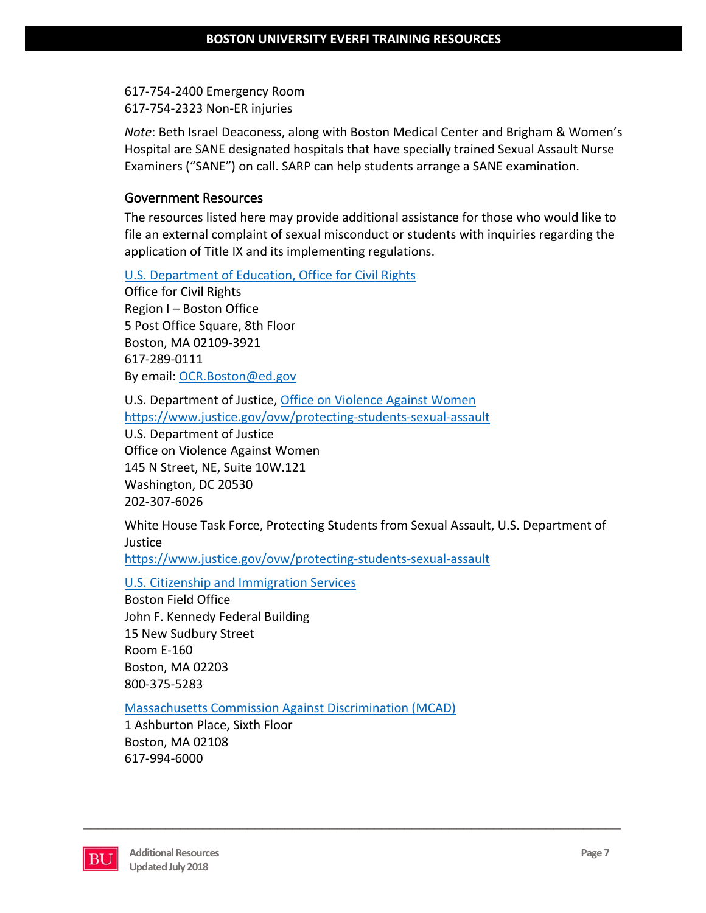617-754-2400 Emergency Room 617-754-2323 Non-ER injuries

*Note*: Beth Israel Deaconess, along with Boston Medical Center and Brigham & Women's Hospital are SANE designated hospitals that have specially trained Sexual Assault Nurse Examiners ("SANE") on call. SARP can help students arrange a SANE examination.

#### Government Resources

The resources listed here may provide additional assistance for those who would like to file an external complaint of sexual misconduct or students with inquiries regarding the application of Title IX and its implementing regulations.

U.S. Department of Education, Office for Civil Rights

Office for Civil Rights Region I – Boston Office 5 Post Office Square, 8th Floor Boston, MA 02109-3921 617-289-0111 By email: OCR.Boston@ed.gov

U.S. Department of Justice, Office on Violence Against Women https://www.justice.gov/ovw/protecting-students-sexual-assault U.S. Department of Justice Office on Violence Against Women 145 N Street, NE, Suite 10W.121 Washington, DC 20530 202-307-6026

White House Task Force, Protecting Students from Sexual Assault, U.S. Department of Justice

**\_\_\_\_\_\_\_\_\_\_\_\_\_\_\_\_\_\_\_\_\_\_\_\_\_\_\_\_\_\_\_\_\_\_\_\_\_\_\_\_\_\_\_\_\_\_\_\_\_\_\_\_\_\_\_\_\_\_\_\_\_\_\_\_\_\_\_\_\_\_\_\_** 

https://www.justice.gov/ovw/protecting-students-sexual-assault

#### U.S. Citizenship and Immigration Services

Boston Field Office John F. Kennedy Federal Building 15 New Sudbury Street Room E-160 Boston, MA 02203 800-375-5283

Massachusetts Commission Against Discrimination (MCAD)

1 Ashburton Place, Sixth Floor Boston, MA 02108 617-994-6000

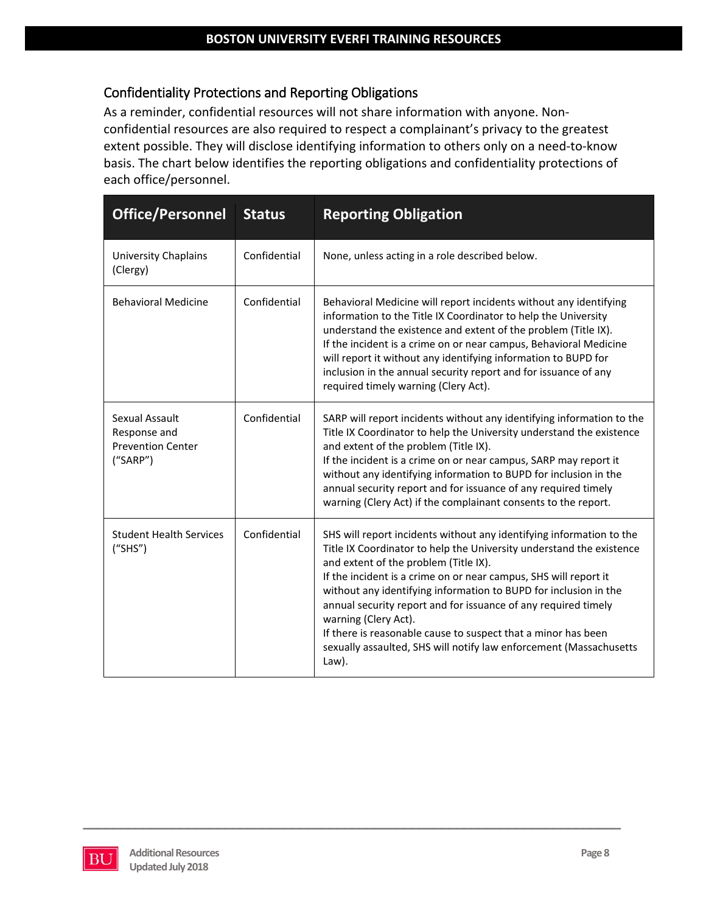### Confidentiality Protections and Reporting Obligations

As a reminder, confidential resources will not share information with anyone. Nonconfidential resources are also required to respect a complainant's privacy to the greatest extent possible. They will disclose identifying information to others only on a need-to-know basis. The chart below identifies the reporting obligations and confidentiality protections of each office/personnel.

| <b>Office/Personnel</b>                                                | <b>Status</b> | <b>Reporting Obligation</b>                                                                                                                                                                                                                                                                                                                                                                                                                                                                                                                                             |
|------------------------------------------------------------------------|---------------|-------------------------------------------------------------------------------------------------------------------------------------------------------------------------------------------------------------------------------------------------------------------------------------------------------------------------------------------------------------------------------------------------------------------------------------------------------------------------------------------------------------------------------------------------------------------------|
| University Chaplains<br>(Clergy)                                       | Confidential  | None, unless acting in a role described below.                                                                                                                                                                                                                                                                                                                                                                                                                                                                                                                          |
| <b>Behavioral Medicine</b>                                             | Confidential  | Behavioral Medicine will report incidents without any identifying<br>information to the Title IX Coordinator to help the University<br>understand the existence and extent of the problem (Title IX).<br>If the incident is a crime on or near campus, Behavioral Medicine<br>will report it without any identifying information to BUPD for<br>inclusion in the annual security report and for issuance of any<br>required timely warning (Clery Act).                                                                                                                 |
| Sexual Assault<br>Response and<br><b>Prevention Center</b><br>("SARP") | Confidential  | SARP will report incidents without any identifying information to the<br>Title IX Coordinator to help the University understand the existence<br>and extent of the problem (Title IX).<br>If the incident is a crime on or near campus, SARP may report it<br>without any identifying information to BUPD for inclusion in the<br>annual security report and for issuance of any required timely<br>warning (Clery Act) if the complainant consents to the report.                                                                                                      |
| <b>Student Health Services</b><br>("SHS")                              | Confidential  | SHS will report incidents without any identifying information to the<br>Title IX Coordinator to help the University understand the existence<br>and extent of the problem (Title IX).<br>If the incident is a crime on or near campus, SHS will report it<br>without any identifying information to BUPD for inclusion in the<br>annual security report and for issuance of any required timely<br>warning (Clery Act).<br>If there is reasonable cause to suspect that a minor has been<br>sexually assaulted, SHS will notify law enforcement (Massachusetts<br>Law). |

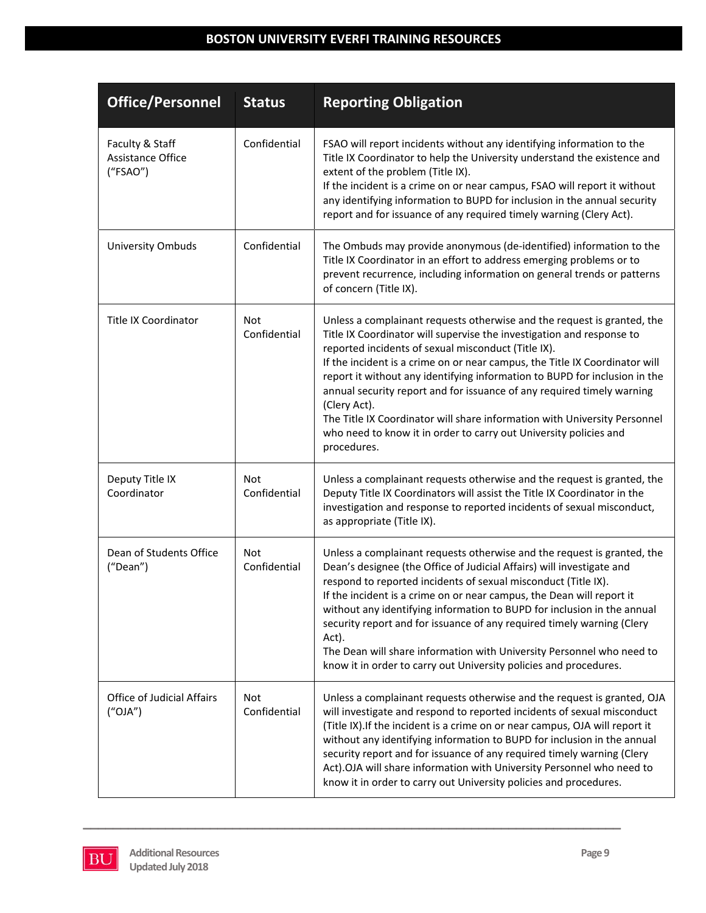### **BOSTON UNIVERSITY EVERFI TRAINING RESOURCES**

| <b>Office/Personnel</b>                          | <b>Status</b>              | <b>Reporting Obligation</b>                                                                                                                                                                                                                                                                                                                                                                                                                                                                                                                                                                                                     |
|--------------------------------------------------|----------------------------|---------------------------------------------------------------------------------------------------------------------------------------------------------------------------------------------------------------------------------------------------------------------------------------------------------------------------------------------------------------------------------------------------------------------------------------------------------------------------------------------------------------------------------------------------------------------------------------------------------------------------------|
| Faculty & Staff<br>Assistance Office<br>("FSAO") | Confidential               | FSAO will report incidents without any identifying information to the<br>Title IX Coordinator to help the University understand the existence and<br>extent of the problem (Title IX).<br>If the incident is a crime on or near campus, FSAO will report it without<br>any identifying information to BUPD for inclusion in the annual security<br>report and for issuance of any required timely warning (Clery Act).                                                                                                                                                                                                          |
| University Ombuds                                | Confidential               | The Ombuds may provide anonymous (de-identified) information to the<br>Title IX Coordinator in an effort to address emerging problems or to<br>prevent recurrence, including information on general trends or patterns<br>of concern (Title IX).                                                                                                                                                                                                                                                                                                                                                                                |
| Title IX Coordinator                             | <b>Not</b><br>Confidential | Unless a complainant requests otherwise and the request is granted, the<br>Title IX Coordinator will supervise the investigation and response to<br>reported incidents of sexual misconduct (Title IX).<br>If the incident is a crime on or near campus, the Title IX Coordinator will<br>report it without any identifying information to BUPD for inclusion in the<br>annual security report and for issuance of any required timely warning<br>(Clery Act).<br>The Title IX Coordinator will share information with University Personnel<br>who need to know it in order to carry out University policies and<br>procedures. |
| Deputy Title IX<br>Coordinator                   | <b>Not</b><br>Confidential | Unless a complainant requests otherwise and the request is granted, the<br>Deputy Title IX Coordinators will assist the Title IX Coordinator in the<br>investigation and response to reported incidents of sexual misconduct,<br>as appropriate (Title IX).                                                                                                                                                                                                                                                                                                                                                                     |
| Dean of Students Office<br>("Dean")              | Not<br>Confidential        | Unless a complainant requests otherwise and the request is granted, the<br>Dean's designee (the Office of Judicial Affairs) will investigate and<br>respond to reported incidents of sexual misconduct (Title IX).<br>If the incident is a crime on or near campus, the Dean will report it<br>without any identifying information to BUPD for inclusion in the annual<br>security report and for issuance of any required timely warning (Clery<br>Act).<br>The Dean will share information with University Personnel who need to<br>know it in order to carry out University policies and procedures.                         |
| <b>Office of Judicial Affairs</b><br>("OJA")     | Not<br>Confidential        | Unless a complainant requests otherwise and the request is granted, OJA<br>will investigate and respond to reported incidents of sexual misconduct<br>(Title IX). If the incident is a crime on or near campus, OJA will report it<br>without any identifying information to BUPD for inclusion in the annual<br>security report and for issuance of any required timely warning (Clery<br>Act). OJA will share information with University Personnel who need to<br>know it in order to carry out University policies and procedures.                                                                                          |

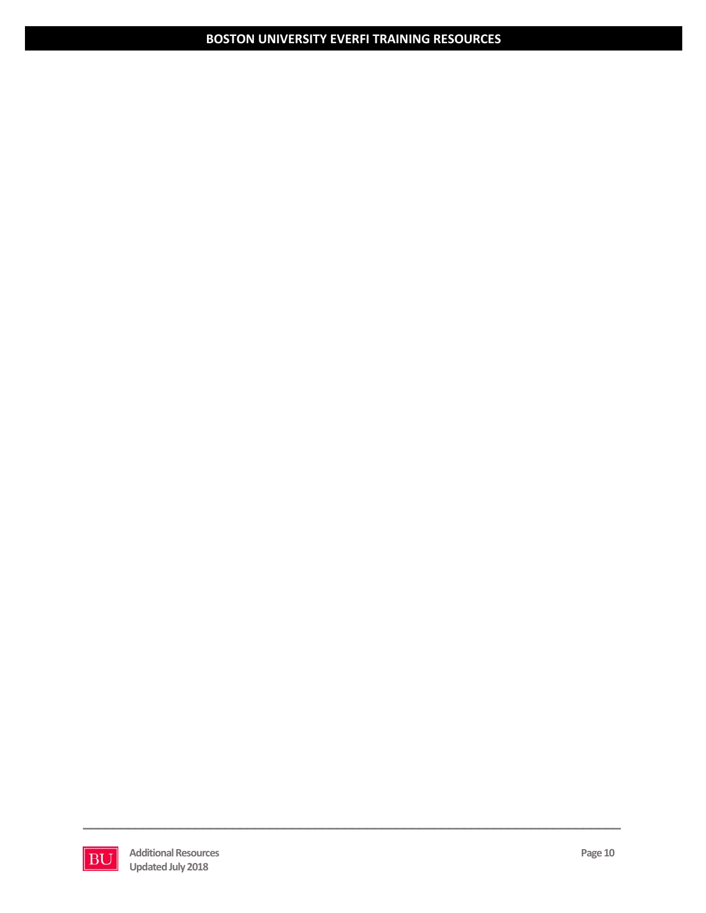